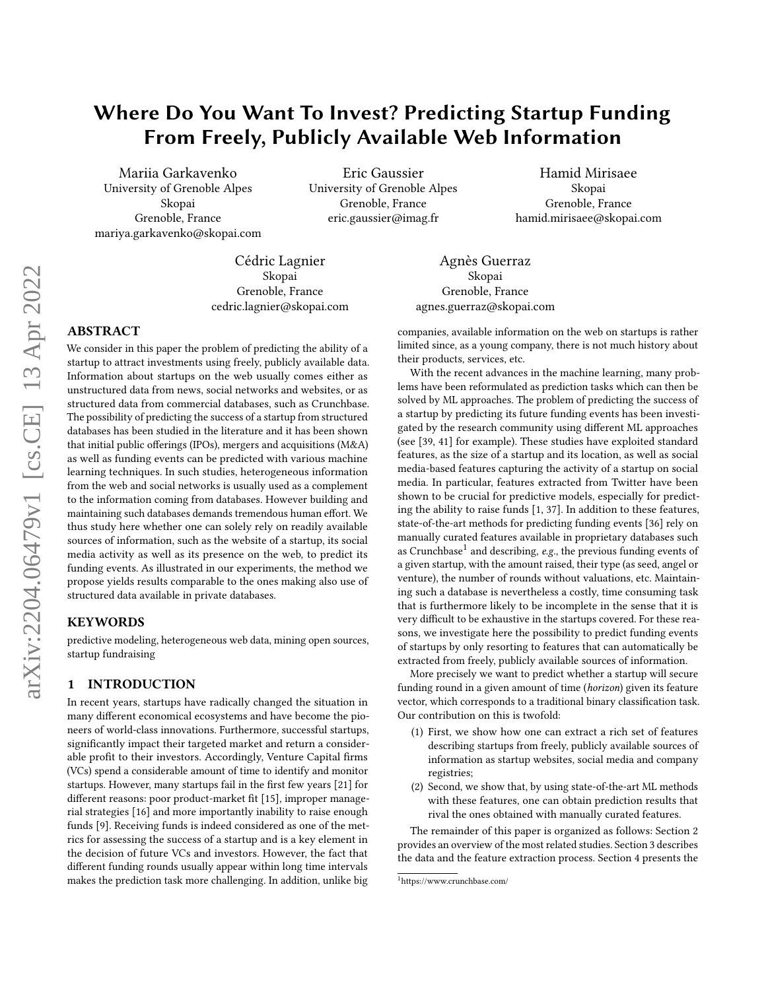# Where Do You Want To Invest? Predicting Startup Funding From Freely, Publicly Available Web Information

Mariia Garkavenko University of Grenoble Alpes Skopai Grenoble, France mariya.garkavenko@skopai.com

Eric Gaussier University of Grenoble Alpes Grenoble, France eric.gaussier@imag.fr

Hamid Mirisaee Skopai Grenoble, France hamid.mirisaee@skopai.com

Cédric Lagnier Skopai Grenoble, France cedric.lagnier@skopai.com

# ABSTRACT

We consider in this paper the problem of predicting the ability of a startup to attract investments using freely, publicly available data. Information about startups on the web usually comes either as unstructured data from news, social networks and websites, or as structured data from commercial databases, such as Crunchbase. The possibility of predicting the success of a startup from structured databases has been studied in the literature and it has been shown that initial public offerings (IPOs), mergers and acquisitions (M&A) as well as funding events can be predicted with various machine learning techniques. In such studies, heterogeneous information from the web and social networks is usually used as a complement to the information coming from databases. However building and maintaining such databases demands tremendous human effort. We thus study here whether one can solely rely on readily available sources of information, such as the website of a startup, its social media activity as well as its presence on the web, to predict its funding events. As illustrated in our experiments, the method we propose yields results comparable to the ones making also use of structured data available in private databases.

## KEYWORDS

predictive modeling, heterogeneous web data, mining open sources, startup fundraising

## <span id="page-0-1"></span>1 INTRODUCTION

In recent years, startups have radically changed the situation in many different economical ecosystems and have become the pioneers of world-class innovations. Furthermore, successful startups, significantly impact their targeted market and return a considerable profit to their investors. Accordingly, Venture Capital firms (VCs) spend a considerable amount of time to identify and monitor startups. However, many startups fail in the first few years [\[21\]](#page-9-0) for different reasons: poor product-market fit [\[15\]](#page-9-1), improper managerial strategies [\[16\]](#page-9-2) and more importantly inability to raise enough funds [\[9\]](#page-9-3). Receiving funds is indeed considered as one of the metrics for assessing the success of a startup and is a key element in the decision of future VCs and investors. However, the fact that different funding rounds usually appear within long time intervals makes the prediction task more challenging. In addition, unlike big

Agnès Guerraz Skopai Grenoble, France agnes.guerraz@skopai.com

companies, available information on the web on startups is rather limited since, as a young company, there is not much history about their products, services, etc.

With the recent advances in the machine learning, many problems have been reformulated as prediction tasks which can then be solved by ML approaches. The problem of predicting the success of a startup by predicting its future funding events has been investigated by the research community using different ML approaches (see [\[39,](#page-9-4) [41\]](#page-9-5) for example). These studies have exploited standard features, as the size of a startup and its location, as well as social media-based features capturing the activity of a startup on social media. In particular, features extracted from Twitter have been shown to be crucial for predictive models, especially for predicting the ability to raise funds [\[1,](#page-9-6) [37\]](#page-9-7). In addition to these features, state-of-the-art methods for predicting funding events [\[36\]](#page-9-8) rely on manually curated features available in proprietary databases such as Crunchbase<sup>[1](#page-0-0)</sup> and describing, e.g., the previous funding events of a given startup, with the amount raised, their type (as seed, angel or venture), the number of rounds without valuations, etc. Maintaining such a database is nevertheless a costly, time consuming task that is furthermore likely to be incomplete in the sense that it is very difficult to be exhaustive in the startups covered. For these reasons, we investigate here the possibility to predict funding events of startups by only resorting to features that can automatically be extracted from freely, publicly available sources of information.

More precisely we want to predict whether a startup will secure funding round in a given amount of time (horizon) given its feature vector, which corresponds to a traditional binary classification task. Our contribution on this is twofold:

- (1) First, we show how one can extract a rich set of features describing startups from freely, publicly available sources of information as startup websites, social media and company registries;
- (2) Second, we show that, by using state-of-the-art ML methods with these features, one can obtain prediction results that rival the ones obtained with manually curated features.

The remainder of this paper is organized as follows: Section [2](#page-1-0) provides an overview of the most related studies. Section [3](#page-1-1) describes the data and the feature extraction process. Section [4](#page-4-0) presents the

<span id="page-0-0"></span><sup>1</sup>https://www.crunchbase.com/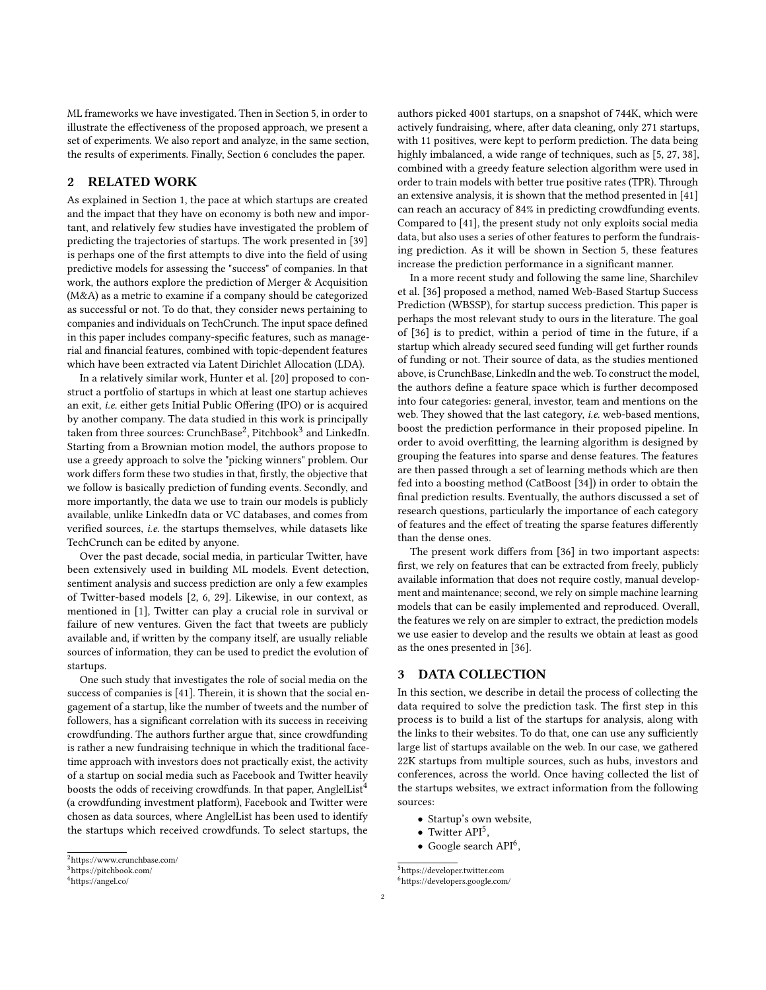ML frameworks we have investigated. Then in Section [5,](#page-5-0) in order to illustrate the effectiveness of the proposed approach, we present a set of experiments. We also report and analyze, in the same section, the results of experiments. Finally, Section [6](#page-7-0) concludes the paper.

## <span id="page-1-0"></span>2 RELATED WORK

As explained in Section [1,](#page-0-1) the pace at which startups are created and the impact that they have on economy is both new and important, and relatively few studies have investigated the problem of predicting the trajectories of startups. The work presented in [\[39\]](#page-9-4) is perhaps one of the first attempts to dive into the field of using predictive models for assessing the "success" of companies. In that work, the authors explore the prediction of Merger & Acquisition (M&A) as a metric to examine if a company should be categorized as successful or not. To do that, they consider news pertaining to companies and individuals on TechCrunch. The input space defined in this paper includes company-specific features, such as managerial and financial features, combined with topic-dependent features which have been extracted via Latent Dirichlet Allocation (LDA).

In a relatively similar work, Hunter et al. [\[20\]](#page-9-9) proposed to construct a portfolio of startups in which at least one startup achieves an exit, i.e. either gets Initial Public Offering (IPO) or is acquired by another company. The data studied in this work is principally taken from three sources: CrunchBase<sup>[2](#page-1-2)</sup>, Pitchbook<sup>[3](#page-1-3)</sup> and LinkedIn. Starting from a Brownian motion model, the authors propose to use a greedy approach to solve the "picking winners" problem. Our work differs form these two studies in that, firstly, the objective that we follow is basically prediction of funding events. Secondly, and more importantly, the data we use to train our models is publicly available, unlike LinkedIn data or VC databases, and comes from verified sources, i.e. the startups themselves, while datasets like TechCrunch can be edited by anyone.

Over the past decade, social media, in particular Twitter, have been extensively used in building ML models. Event detection, sentiment analysis and success prediction are only a few examples of Twitter-based models [\[2,](#page-9-10) [6,](#page-9-11) [29\]](#page-9-12). Likewise, in our context, as mentioned in [\[1\]](#page-9-6), Twitter can play a crucial role in survival or failure of new ventures. Given the fact that tweets are publicly available and, if written by the company itself, are usually reliable sources of information, they can be used to predict the evolution of startups.

One such study that investigates the role of social media on the success of companies is [\[41\]](#page-9-5). Therein, it is shown that the social engagement of a startup, like the number of tweets and the number of followers, has a significant correlation with its success in receiving crowdfunding. The authors further argue that, since crowdfunding is rather a new fundraising technique in which the traditional facetime approach with investors does not practically exist, the activity of a startup on social media such as Facebook and Twitter heavily boosts the odds of receiving crowdfunds. In that paper, AnglelList<sup>[4](#page-1-4)</sup> (a crowdfunding investment platform), Facebook and Twitter were chosen as data sources, where AnglelList has been used to identify the startups which received crowdfunds. To select startups, the

authors picked 4001 startups, on a snapshot of 744K, which were actively fundraising, where, after data cleaning, only 271 startups, with 11 positives, were kept to perform prediction. The data being highly imbalanced, a wide range of techniques, such as [\[5,](#page-9-13) [27,](#page-9-14) [38\]](#page-9-15), combined with a greedy feature selection algorithm were used in order to train models with better true positive rates (TPR). Through an extensive analysis, it is shown that the method presented in [\[41\]](#page-9-5) can reach an accuracy of 84% in predicting crowdfunding events. Compared to [\[41\]](#page-9-5), the present study not only exploits social media data, but also uses a series of other features to perform the fundraising prediction. As it will be shown in Section [5,](#page-5-0) these features increase the prediction performance in a significant manner.

In a more recent study and following the same line, Sharchilev et al. [\[36\]](#page-9-8) proposed a method, named Web-Based Startup Success Prediction (WBSSP), for startup success prediction. This paper is perhaps the most relevant study to ours in the literature. The goal of [\[36\]](#page-9-8) is to predict, within a period of time in the future, if a startup which already secured seed funding will get further rounds of funding or not. Their source of data, as the studies mentioned above, is CrunchBase, LinkedIn and the web. To construct the model, the authors define a feature space which is further decomposed into four categories: general, investor, team and mentions on the web. They showed that the last category, *i.e.* web-based mentions, boost the prediction performance in their proposed pipeline. In order to avoid overfitting, the learning algorithm is designed by grouping the features into sparse and dense features. The features are then passed through a set of learning methods which are then fed into a boosting method (CatBoost [\[34\]](#page-9-16)) in order to obtain the final prediction results. Eventually, the authors discussed a set of research questions, particularly the importance of each category of features and the effect of treating the sparse features differently than the dense ones.

The present work differs from [\[36\]](#page-9-8) in two important aspects: first, we rely on features that can be extracted from freely, publicly available information that does not require costly, manual development and maintenance; second, we rely on simple machine learning models that can be easily implemented and reproduced. Overall, the features we rely on are simpler to extract, the prediction models we use easier to develop and the results we obtain at least as good as the ones presented in [\[36\]](#page-9-8).

## <span id="page-1-1"></span>3 DATA COLLECTION

In this section, we describe in detail the process of collecting the data required to solve the prediction task. The first step in this process is to build a list of the startups for analysis, along with the links to their websites. To do that, one can use any sufficiently large list of startups available on the web. In our case, we gathered 22K startups from multiple sources, such as hubs, investors and conferences, across the world. Once having collected the list of the startups websites, we extract information from the following sources:

- Startup's own website,
- $\bullet$  Twitter API<sup>[5](#page-1-5)</sup>,
- Google search API<sup>[6](#page-1-6)</sup>,

<span id="page-1-2"></span><sup>2</sup><https://www.crunchbase.com/>

<span id="page-1-3"></span><sup>3</sup><https://pitchbook.com/>

<span id="page-1-4"></span><sup>4</sup><https://angel.co/>

<span id="page-1-6"></span><span id="page-1-5"></span><sup>&</sup>lt;sup>5</sup><https://developer.twitter.com> <sup>6</sup><https://developers.google.com/>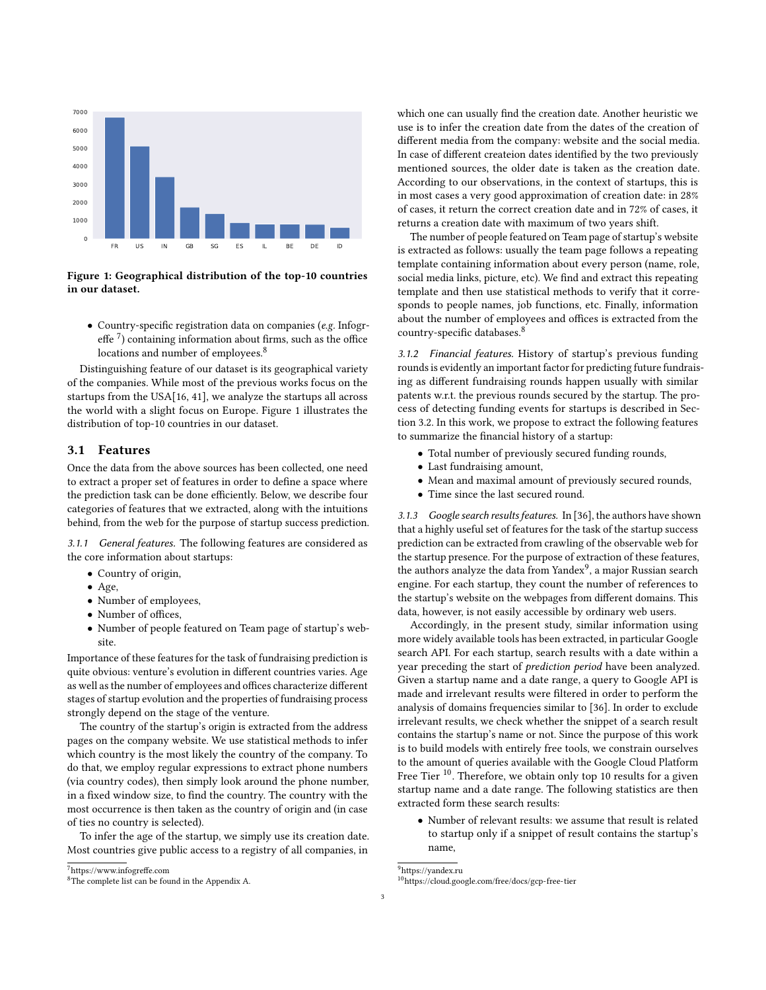<span id="page-2-2"></span>

Figure 1: Geographical distribution of the top-10 countries in our dataset.

• Country-specific registration data on companies (e.g. Infogreffe $\rm ^7)$  $\rm ^7)$  $\rm ^7)$  containing information about firms, such as the office locations and number of employees.<sup>[8](#page-2-1)</sup>

Distinguishing feature of our dataset is its geographical variety of the companies. While most of the previous works focus on the startups from the USA[\[16,](#page-9-2) [41\]](#page-9-5), we analyze the startups all across the world with a slight focus on Europe. Figure [1](#page-2-2) illustrates the distribution of top-10 countries in our dataset.

### 3.1 Features

Once the data from the above sources has been collected, one need to extract a proper set of features in order to define a space where the prediction task can be done efficiently. Below, we describe four categories of features that we extracted, along with the intuitions behind, from the web for the purpose of startup success prediction.

3.1.1 General features. The following features are considered as the core information about startups:

- Country of origin,
- Age,
- Number of employees,
- Number of offices,
- Number of people featured on Team page of startup's website.

Importance of these features for the task of fundraising prediction is quite obvious: venture's evolution in different countries varies. Age as well as the number of employees and offices characterize different stages of startup evolution and the properties of fundraising process strongly depend on the stage of the venture.

The country of the startup's origin is extracted from the address pages on the company website. We use statistical methods to infer which country is the most likely the country of the company. To do that, we employ regular expressions to extract phone numbers (via country codes), then simply look around the phone number, in a fixed window size, to find the country. The country with the most occurrence is then taken as the country of origin and (in case of ties no country is selected).

To infer the age of the startup, we simply use its creation date. Most countries give public access to a registry of all companies, in

<span id="page-2-0"></span><sup>7</sup><https://www.infogreffe.com>

which one can usually find the creation date. Another heuristic we use is to infer the creation date from the dates of the creation of different media from the company: website and the social media. In case of different createion dates identified by the two previously mentioned sources, the older date is taken as the creation date. According to our observations, in the context of startups, this is in most cases a very good approximation of creation date: in 28% of cases, it return the correct creation date and in 72% of cases, it returns a creation date with maximum of two years shift.

The number of people featured on Team page of startup's website is extracted as follows: usually the team page follows a repeating template containing information about every person (name, role, social media links, picture, etc). We find and extract this repeating template and then use statistical methods to verify that it corresponds to people names, job functions, etc. Finally, information about the number of employees and offices is extracted from the country-specific databases.[8](#page-2-1)

3.1.2 Financial features. History of startup's previous funding rounds is evidently an important factor for predicting future fundraising as different fundraising rounds happen usually with similar patents w.r.t. the previous rounds secured by the startup. The process of detecting funding events for startups is described in Section [3.2.](#page-3-0) In this work, we propose to extract the following features to summarize the financial history of a startup:

- Total number of previously secured funding rounds,
- Last fundraising amount,
- Mean and maximal amount of previously secured rounds,
- Time since the last secured round.

3.1.3 Google search results features. In [\[36\]](#page-9-8), the authors have shown that a highly useful set of features for the task of the startup success prediction can be extracted from crawling of the observable web for the startup presence. For the purpose of extraction of these features, the authors analyze the data from Yandex $^9$  $^9$ , a major Russian search engine. For each startup, they count the number of references to the startup's website on the webpages from different domains. This data, however, is not easily accessible by ordinary web users.

Accordingly, in the present study, similar information using more widely available tools has been extracted, in particular Google search API. For each startup, search results with a date within a year preceding the start of prediction period have been analyzed. Given a startup name and a date range, a query to Google API is made and irrelevant results were filtered in order to perform the analysis of domains frequencies similar to [\[36\]](#page-9-8). In order to exclude irrelevant results, we check whether the snippet of a search result contains the startup's name or not. Since the purpose of this work is to build models with entirely free tools, we constrain ourselves to the amount of queries available with the Google Cloud Platform Free Tier  $^{10}$  $^{10}$  $^{10}$ . Therefore, we obtain only top 10 results for a given startup name and a date range. The following statistics are then extracted form these search results:

• Number of relevant results: we assume that result is related to startup only if a snippet of result contains the startup's name,

<span id="page-2-3"></span><sup>9</sup><https://yandex.ru>

<span id="page-2-1"></span><sup>8</sup>The complete list can be found in the Appendix [A.](#page-10-0)

<span id="page-2-4"></span><sup>10</sup><https://cloud.google.com/free/docs/gcp-free-tier>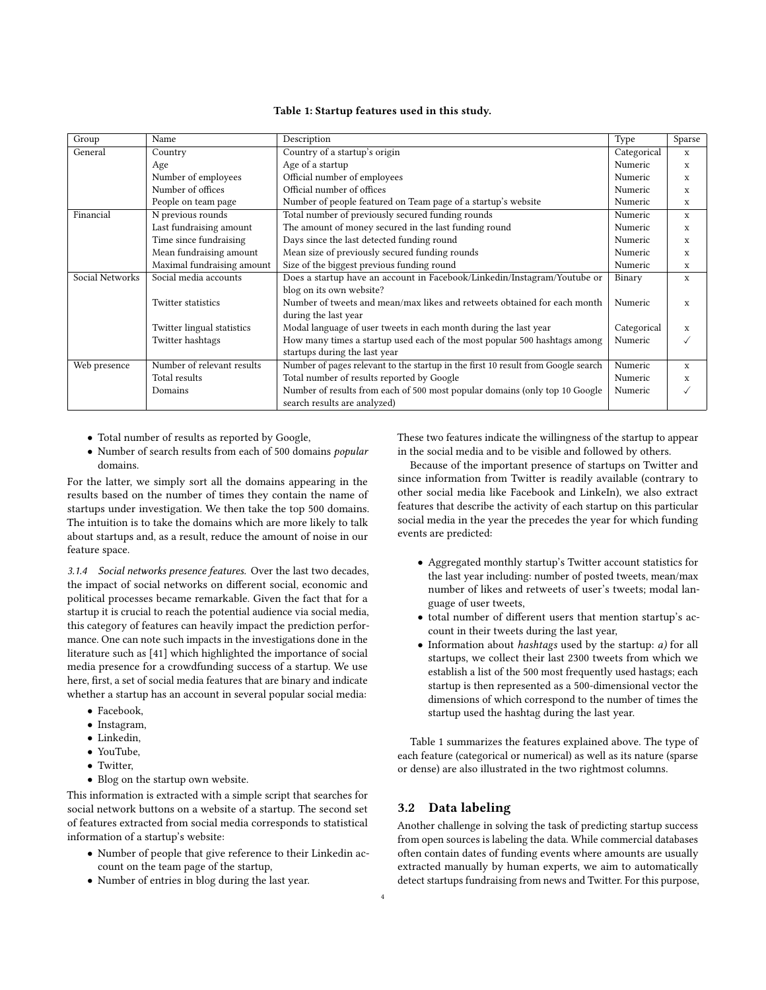#### Table 1: Startup features used in this study.

<span id="page-3-1"></span>

| Name                       | Description                                                                       | Type        | Sparse       |
|----------------------------|-----------------------------------------------------------------------------------|-------------|--------------|
| Country                    | Country of a startup's origin                                                     |             | $\mathbf{x}$ |
| Age                        | Age of a startup                                                                  | Numeric     | $\mathbf{x}$ |
| Number of employees        | Official number of employees                                                      | Numeric     | X            |
| Number of offices          | Official number of offices                                                        | Numeric     | X            |
| People on team page        | Number of people featured on Team page of a startup's website                     | Numeric     | X            |
| N previous rounds          | Total number of previously secured funding rounds                                 | Numeric     | $\mathbf x$  |
| Last fundraising amount    | The amount of money secured in the last funding round                             | Numeric     | X            |
| Time since fundraising     | Days since the last detected funding round                                        | Numeric     | X            |
| Mean fundraising amount    | Mean size of previously secured funding rounds                                    | Numeric     | X            |
| Maximal fundraising amount | Size of the biggest previous funding round                                        | Numeric     | X            |
| Social media accounts      | Does a startup have an account in Facebook/Linkedin/Instagram/Youtube or          | Binary      | $\mathbf x$  |
|                            | blog on its own website?                                                          |             |              |
| Twitter statistics         | Number of tweets and mean/max likes and retweets obtained for each month          | Numeric     | X            |
|                            | during the last year                                                              |             |              |
| Twitter lingual statistics | Modal language of user tweets in each month during the last year                  | Categorical | X            |
| Twitter hashtags           | How many times a startup used each of the most popular 500 hashtags among         | Numeric     |              |
|                            | startups during the last year                                                     |             |              |
| Number of relevant results | Number of pages relevant to the startup in the first 10 result from Google search | Numeric     | X            |
| Total results              | Total number of results reported by Google                                        | Numeric     | X            |
| Domains                    | Number of results from each of 500 most popular domains (only top 10 Google       | Numeric     |              |
|                            | search results are analyzed)                                                      |             |              |
|                            |                                                                                   |             | Categorical  |

- Total number of results as reported by Google,
- Number of search results from each of 500 domains popular domains.

For the latter, we simply sort all the domains appearing in the results based on the number of times they contain the name of startups under investigation. We then take the top 500 domains. The intuition is to take the domains which are more likely to talk about startups and, as a result, reduce the amount of noise in our feature space.

3.1.4 Social networks presence features. Over the last two decades, the impact of social networks on different social, economic and political processes became remarkable. Given the fact that for a startup it is crucial to reach the potential audience via social media, this category of features can heavily impact the prediction performance. One can note such impacts in the investigations done in the literature such as [\[41\]](#page-9-5) which highlighted the importance of social media presence for a crowdfunding success of a startup. We use here, first, a set of social media features that are binary and indicate whether a startup has an account in several popular social media:

- Facebook,
- Instagram,
- Linkedin,
- YouTube,
- Twitter,
- Blog on the startup own website.

This information is extracted with a simple script that searches for social network buttons on a website of a startup. The second set of features extracted from social media corresponds to statistical information of a startup's website:

- Number of people that give reference to their Linkedin account on the team page of the startup,
- Number of entries in blog during the last year.

These two features indicate the willingness of the startup to appear in the social media and to be visible and followed by others.

Because of the important presence of startups on Twitter and since information from Twitter is readily available (contrary to other social media like Facebook and LinkeIn), we also extract features that describe the activity of each startup on this particular social media in the year the precedes the year for which funding events are predicted:

- Aggregated monthly startup's Twitter account statistics for the last year including: number of posted tweets, mean/max number of likes and retweets of user's tweets; modal language of user tweets,
- total number of different users that mention startup's account in their tweets during the last year,
- Information about hashtags used by the startup: a) for all startups, we collect their last 2300 tweets from which we establish a list of the 500 most frequently used hastags; each startup is then represented as a 500-dimensional vector the dimensions of which correspond to the number of times the startup used the hashtag during the last year.

Table [1](#page-3-1) summarizes the features explained above. The type of each feature (categorical or numerical) as well as its nature (sparse or dense) are also illustrated in the two rightmost columns.

## <span id="page-3-0"></span>3.2 Data labeling

Another challenge in solving the task of predicting startup success from open sources is labeling the data. While commercial databases often contain dates of funding events where amounts are usually extracted manually by human experts, we aim to automatically detect startups fundraising from news and Twitter. For this purpose,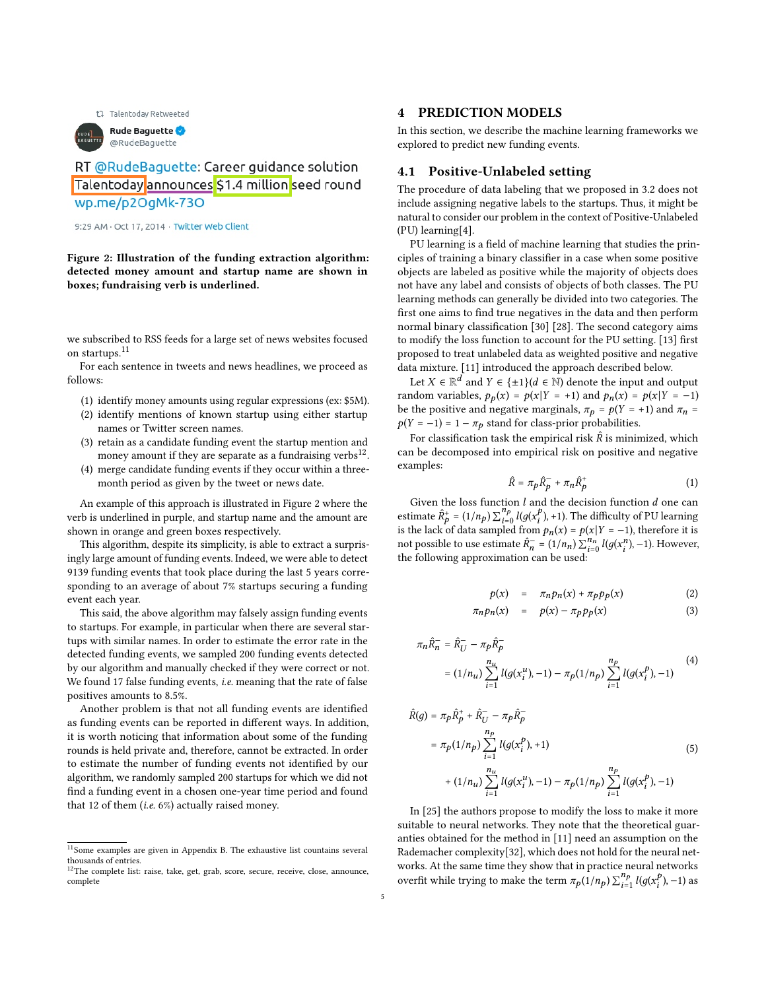t1 Talentoday Retweeted

<span id="page-4-3"></span>

RT @RudeBaguette: Career guidance solution Talentoday announces \$1.4 million seed round

wp.me/p2OgMk-73O

9:29 AM · Oct 17, 2014 · Twitter Web Client

Figure 2: Illustration of the funding extraction algorithm: detected money amount and startup name are shown in boxes; fundraising verb is underlined.

we subscribed to RSS feeds for a large set of news websites focused on startups.<sup>[11](#page-4-1)</sup>

For each sentence in tweets and news headlines, we proceed as follows:

- (1) identify money amounts using regular expressions (ex: \$5M).
- (2) identify mentions of known startup using either startup names or Twitter screen names.
- (3) retain as a candidate funding event the startup mention and money amount if they are separate as a fundraising verbs $^{12}$  $^{12}$  $^{12}$ .
- (4) merge candidate funding events if they occur within a threemonth period as given by the tweet or news date.

An example of this approach is illustrated in Figure [2](#page-4-3) where the verb is underlined in purple, and startup name and the amount are shown in orange and green boxes respectively.

This algorithm, despite its simplicity, is able to extract a surprisingly large amount of funding events. Indeed, we were able to detect 9139 funding events that took place during the last 5 years corresponding to an average of about 7% startups securing a funding event each year.

This said, the above algorithm may falsely assign funding events to startups. For example, in particular when there are several startups with similar names. In order to estimate the error rate in the detected funding events, we sampled 200 funding events detected by our algorithm and manually checked if they were correct or not. We found 17 false funding events, i.e. meaning that the rate of false positives amounts to 8.5%.

Another problem is that not all funding events are identified as funding events can be reported in different ways. In addition, it is worth noticing that information about some of the funding rounds is held private and, therefore, cannot be extracted. In order to estimate the number of funding events not identified by our algorithm, we randomly sampled 200 startups for which we did not find a funding event in a chosen one-year time period and found that 12 of them (i.e. 6%) actually raised money.

#### <span id="page-4-0"></span>4 PREDICTION MODELS

In this section, we describe the machine learning frameworks we explored to predict new funding events.

## <span id="page-4-5"></span>4.1 Positive-Unlabeled setting

The procedure of data labeling that we proposed in [3.2](#page-3-0) does not include assigning negative labels to the startups. Thus, it might be natural to consider our problem in the context of Positive-Unlabeled (PU) learning[\[4\]](#page-9-17).

PU learning is a field of machine learning that studies the principles of training a binary classifier in a case when some positive objects are labeled as positive while the majority of objects does not have any label and consists of objects of both classes. The PU learning methods can generally be divided into two categories. The first one aims to find true negatives in the data and then perform normal binary classification [\[30\]](#page-9-18) [\[28\]](#page-9-19). The second category aims to modify the loss function to account for the PU setting. [\[13\]](#page-9-20) first proposed to treat unlabeled data as weighted positive and negative data mixture. [\[11\]](#page-9-21) introduced the approach described below.

Let  $X \in \mathbb{R}^d$  and  $Y \in \{\pm 1\}$   $(d \in \mathbb{N})$  denote the input and output random variables,  $p_p(x) = p(x|Y = +1)$  and  $p_n(x) = p(x|Y = -1)$ be the positive and negative marginals,  $\pi_p = p(Y = +1)$  and  $\pi_n =$  $p(Y = -1) = 1 - \pi_p$  stand for class-prior probabilities.

For classification task the empirical risk  $\hat{R}$  is minimized, which can be decomposed into empirical risk on positive and negative examples:

$$
\hat{R} = \pi_p \hat{R}_p^- + \pi_n \hat{R}_p^+ \tag{1}
$$

Given the loss function  $l$  and the decision function  $d$  one can estimate  $\hat{R}_p^+ = (1/n_p) \sum_{i=0}^{n_p} l(g(x_i^p))$  $_{i}^{p}$ ), +1). The difficulty of PU learning is the lack of data sampled from  $p_n(x) = p(x | Y = -1)$ , therefore it is not possible to use estimate  $\hat{R}_n^- = (1/n_n) \sum_{i=0}^{n_n} l(g(x_i^n), -1)$ . However, the following approximation can be used:

<span id="page-4-4"></span>
$$
p(x) = \pi_n p_n(x) + \pi_p p_p(x) \tag{2}
$$

$$
\pi_n p_n(x) = p(x) - \pi_p p_p(x) \tag{3}
$$

$$
\pi_n \hat{R}_n^- = \hat{R}_U^- - \pi_p \hat{R}_p^-
$$
  
=  $(1/n_u) \sum_{i=1}^{n_u} l(g(x_i^u), -1) - \pi_p(1/n_p) \sum_{i=1}^{n_p} l(g(x_i^p), -1)$  (4)

$$
\hat{R}(g) = \pi_p \hat{R}_p^+ + \hat{R}_U^- - \pi_p \hat{R}_p^-
$$
\n
$$
= \pi_p (1/n_p) \sum_{i=1}^{n_p} l(g(x_i^p), +1)
$$
\n
$$
+ (1/n_u) \sum_{i=1}^{n_u} l(g(x_i^u), -1) - \pi_p (1/n_p) \sum_{i=1}^{n_p} l(g(x_i^p), -1)
$$
\n(5)

In [\[25\]](#page-9-22) the authors propose to modify the loss to make it more suitable to neural networks. They note that the theoretical guaranties obtained for the method in [\[11\]](#page-9-21) need an assumption on the Rademacher complexity[\[32\]](#page-9-23), which does not hold for the neural networks. At the same time they show that in practice neural networks overfit while trying to make the term  $\pi_p(1/n_p) \sum_{i=1}^{n_p} l(g(x_i^p))$  $_{i}^{p}$ ), -1) as

<span id="page-4-1"></span> $\frac{11}{11}$ Some examples are given in Appendix [B.](#page-10-1) The exhaustive list countains several thousands of entries.

<span id="page-4-2"></span><sup>12</sup>The complete list: raise, take, get, grab, score, secure, receive, close, announce, complete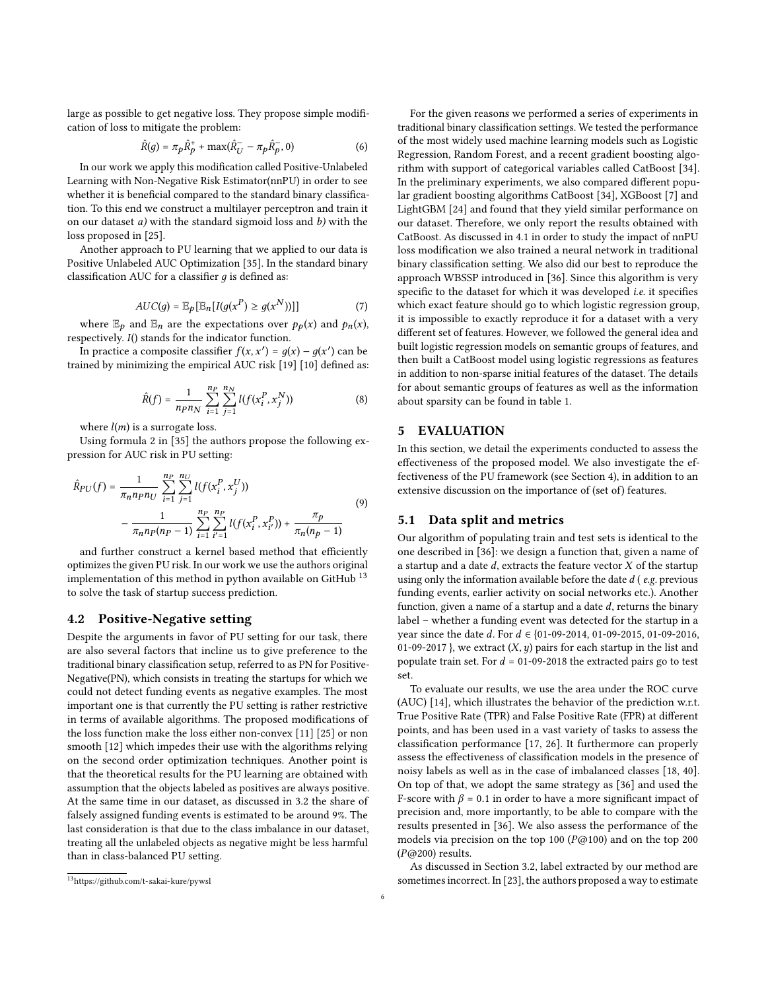large as possible to get negative loss. They propose simple modification of loss to mitigate the problem:

$$
\hat{R}(g) = \pi_p \hat{R}_p^+ + \max(\hat{R}_U^- - \pi_p \hat{R}_p^-, 0)
$$
 (6)

In our work we apply this modification called Positive-Unlabeled Learning with Non-Negative Risk Estimator(nnPU) in order to see whether it is beneficial compared to the standard binary classification. To this end we construct a multilayer perceptron and train it on our dataset  $a$ ) with the standard sigmoid loss and  $b$ ) with the loss proposed in [\[25\]](#page-9-22).

Another approach to PU learning that we applied to our data is Positive Unlabeled AUC Optimization [\[35\]](#page-9-24). In the standard binary classification AUC for a classifier  $q$  is defined as:

$$
AUC(g) = \mathbb{E}_p[\mathbb{E}_n[I(g(x^P) \ge g(x^N))]] \tag{7}
$$

where  $\mathbb{E}_p$  and  $\mathbb{E}_n$  are the expectations over  $p_p(x)$  and  $p_n(x)$ , respectively.  $I()$  stands for the indicator function.

In practice a composite classifier  $f(x, x') = g(x) - g(x')$  can be trained by minimizing the empirical AUC risk [\[19\]](#page-9-25) [\[10\]](#page-9-26) defined as:

$$
\hat{R}(f) = \frac{1}{n_{P}n_{N}} \sum_{i=1}^{n_{P}} \sum_{j=1}^{n_{N}} l(f(x_{i}^{P}, x_{j}^{N}))
$$
(8)

where  $l(m)$  is a surrogate loss.

Using formula [2](#page-4-4) in [\[35\]](#page-9-24) the authors propose the following expression for AUC risk in PU setting:

$$
\hat{R}_{PU}(f) = \frac{1}{\pi_n n_p n_U} \sum_{i=1}^{n_P} \sum_{j=1}^{n_U} l(f(x_i^P, x_j^U))
$$
\n
$$
- \frac{1}{\pi_n n_p (n_P - 1)} \sum_{i=1}^{n_P} \sum_{i'=1}^{n_P} l(f(x_i^P, x_{i'}^P)) + \frac{\pi_p}{\pi_n (n_P - 1)}
$$
\n(9)

and further construct a kernel based method that efficiently optimizes the given PU risk. In our work we use the authors original implementation of this method in python available on GitHub  $^{13}$  $^{13}$  $^{13}$ to solve the task of startup success prediction.

## <span id="page-5-2"></span>4.2 Positive-Negative setting

Despite the arguments in favor of PU setting for our task, there are also several factors that incline us to give preference to the traditional binary classification setup, referred to as PN for Positive-Negative(PN), which consists in treating the startups for which we could not detect funding events as negative examples. The most important one is that currently the PU setting is rather restrictive in terms of available algorithms. The proposed modifications of the loss function make the loss either non-convex [\[11\]](#page-9-21) [\[25\]](#page-9-22) or non smooth [\[12\]](#page-9-27) which impedes their use with the algorithms relying on the second order optimization techniques. Another point is that the theoretical results for the PU learning are obtained with assumption that the objects labeled as positives are always positive. At the same time in our dataset, as discussed in [3.2](#page-3-0) the share of falsely assigned funding events is estimated to be around 9%. The last consideration is that due to the class imbalance in our dataset, treating all the unlabeled objects as negative might be less harmful than in class-balanced PU setting.

For the given reasons we performed a series of experiments in traditional binary classification settings. We tested the performance of the most widely used machine learning models such as Logistic Regression, Random Forest, and a recent gradient boosting algorithm with support of categorical variables called CatBoost [\[34\]](#page-9-16). In the preliminary experiments, we also compared different popular gradient boosting algorithms CatBoost [\[34\]](#page-9-16), XGBoost [\[7\]](#page-9-28) and LightGBM [\[24\]](#page-9-29) and found that they yield similar performance on our dataset. Therefore, we only report the results obtained with CatBoost. As discussed in [4.1](#page-4-5) in order to study the impact of nnPU loss modification we also trained a neural network in traditional binary classification setting. We also did our best to reproduce the approach WBSSP introduced in [\[36\]](#page-9-8). Since this algorithm is very specific to the dataset for which it was developed *i.e.* it specifies which exact feature should go to which logistic regression group, it is impossible to exactly reproduce it for a dataset with a very different set of features. However, we followed the general idea and built logistic regression models on semantic groups of features, and then built a CatBoost model using logistic regressions as features in addition to non-sparse initial features of the dataset. The details for about semantic groups of features as well as the information about sparsity can be found in table [1.](#page-3-1)

## <span id="page-5-0"></span>5 EVALUATION

In this section, we detail the experiments conducted to assess the effectiveness of the proposed model. We also investigate the effectiveness of the PU framework (see Section [4\)](#page-4-0), in addition to an extensive discussion on the importance of (set of) features.

## 5.1 Data split and metrics

Our algorithm of populating train and test sets is identical to the one described in [\[36\]](#page-9-8): we design a function that, given a name of a startup and a date  $d$ , extracts the feature vector  $X$  of the startup using only the information available before the date  $d$  (e.g. previous funding events, earlier activity on social networks etc.). Another function, given a name of a startup and a date  $d$ , returns the binary label – whether a funding event was detected for the startup in a year since the date  $d$ . For  $d \in \{01-09-2014, 01-09-2015, 01-09-2016,$ 01-09-2017 }, we extract  $(X, y)$  pairs for each startup in the list and populate train set. For  $d = 01-09-2018$  the extracted pairs go to test set.

To evaluate our results, we use the area under the ROC curve (AUC) [\[14\]](#page-9-30), which illustrates the behavior of the prediction w.r.t. True Positive Rate (TPR) and False Positive Rate (FPR) at different points, and has been used in a vast variety of tasks to assess the classification performance [\[17,](#page-9-31) [26\]](#page-9-32). It furthermore can properly assess the effectiveness of classification models in the presence of noisy labels as well as in the case of imbalanced classes [\[18,](#page-9-33) [40\]](#page-9-34). On top of that, we adopt the same strategy as [\[36\]](#page-9-8) and used the F-score with  $\beta$  = 0.1 in order to have a more significant impact of precision and, more importantly, to be able to compare with the results presented in [\[36\]](#page-9-8). We also assess the performance of the models via precision on the top 100 ( $P@100$ ) and on the top 200  $(P@200)$  results.

As discussed in Section [3.2,](#page-3-0) label extracted by our method are sometimes incorrect. In [\[23\]](#page-9-35), the authors proposed a way to estimate

<span id="page-5-1"></span><sup>13</sup><https://github.com/t-sakai-kure/pywsl>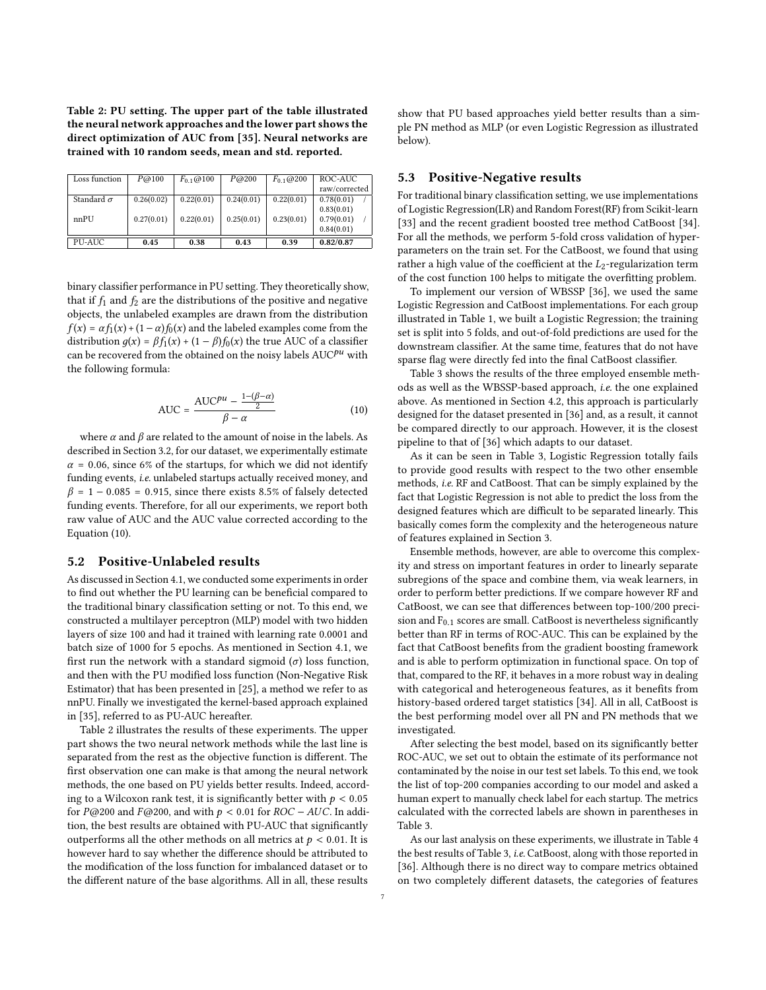<span id="page-6-1"></span>Table 2: PU setting. The upper part of the table illustrated the neural network approaches and the lower part shows the direct optimization of AUC from [\[35\]](#page-9-24). Neural networks are trained with 10 random seeds, mean and std. reported.

| Loss function     | P@100      | $F_{0,1}$ (a) 100 | P@200      | $F_{0.1}$ @ 200 | ROC-AUC       |
|-------------------|------------|-------------------|------------|-----------------|---------------|
|                   |            |                   |            |                 | raw/corrected |
| Standard $\sigma$ | 0.26(0.02) | 0.22(0.01)        | 0.24(0.01) | 0.22(0.01)      | 0.78(0.01)    |
|                   |            |                   |            |                 | 0.83(0.01)    |
| nnPIJ             | 0.27(0.01) | 0.22(0.01)        | 0.25(0.01) | 0.23(0.01)      | 0.79(0.01)    |
|                   |            |                   |            |                 | 0.84(0.01)    |
| PU-AUC            | 0.45       | 0.38              | 0.43       | 0.39            | 0.82/0.87     |

binary classifier performance in PU setting. They theoretically show, that if  $f_1$  and  $f_2$  are the distributions of the positive and negative objects, the unlabeled examples are drawn from the distribution  $f(x) = \alpha f_1(x) + (1 - \alpha)f_0(x)$  and the labeled examples come from the distribution  $g(x) = \beta f_1(x) + (1 - \beta)f_0(x)$  the true AUC of a classifier can be recovered from the obtained on the noisy labels  $\mathrm{AUC}^{pu}$  with the following formula:

<span id="page-6-0"></span>
$$
AUC = \frac{AUC^{pu} - \frac{1 - (\beta - \alpha)}{2}}{\beta - \alpha}
$$
 (10)

where  $\alpha$  and  $\beta$  are related to the amount of noise in the labels. As described in Section [3.2,](#page-3-0) for our dataset, we experimentally estimate  $\alpha$  = 0.06, since 6% of the startups, for which we did not identify funding events, i.e. unlabeled startups actually received money, and  $\beta$  = 1 – 0.085 = 0.915, since there exists 8.5% of falsely detected funding events. Therefore, for all our experiments, we report both raw value of AUC and the AUC value corrected according to the Equation [\(10\)](#page-6-0).

## 5.2 Positive-Unlabeled results

As discussed in Section [4.1,](#page-4-5) we conducted some experiments in order to find out whether the PU learning can be beneficial compared to the traditional binary classification setting or not. To this end, we constructed a multilayer perceptron (MLP) model with two hidden layers of size 100 and had it trained with learning rate 0.0001 and batch size of 1000 for 5 epochs. As mentioned in Section [4.1,](#page-4-5) we first run the network with a standard sigmoid  $(\sigma)$  loss function, and then with the PU modified loss function (Non-Negative Risk Estimator) that has been presented in [\[25\]](#page-9-22), a method we refer to as nnPU. Finally we investigated the kernel-based approach explained in [\[35\]](#page-9-24), referred to as PU-AUC hereafter.

Table [2](#page-6-1) illustrates the results of these experiments. The upper part shows the two neural network methods while the last line is separated from the rest as the objective function is different. The first observation one can make is that among the neural network methods, the one based on PU yields better results. Indeed, according to a Wilcoxon rank test, it is significantly better with  $p < 0.05$ for P@200 and F@200, and with  $p < 0.01$  for ROC - AUC. In addition, the best results are obtained with PU-AUC that significantly outperforms all the other methods on all metrics at  $p < 0.01$ . It is however hard to say whether the difference should be attributed to the modification of the loss function for imbalanced dataset or to the different nature of the base algorithms. All in all, these results

show that PU based approaches yield better results than a simple PN method as MLP (or even Logistic Regression as illustrated below).

## 5.3 Positive-Negative results

For traditional binary classification setting, we use implementations of Logistic Regression(LR) and Random Forest(RF) from Scikit-learn [\[33\]](#page-9-36) and the recent gradient boosted tree method CatBoost [\[34\]](#page-9-16). For all the methods, we perform 5-fold cross validation of hyperparameters on the train set. For the CatBoost, we found that using rather a high value of the coefficient at the  $L_2$ -regularization term of the cost function 100 helps to mitigate the overfitting problem.

To implement our version of WBSSP [\[36\]](#page-9-8), we used the same Logistic Regression and CatBoost implementations. For each group illustrated in Table [1,](#page-3-1) we built a Logistic Regression; the training set is split into 5 folds, and out-of-fold predictions are used for the downstream classifier. At the same time, features that do not have sparse flag were directly fed into the final CatBoost classifier.

Table [3](#page-7-1) shows the results of the three employed ensemble methods as well as the WBSSP-based approach, i.e. the one explained above. As mentioned in Section [4.2,](#page-5-2) this approach is particularly designed for the dataset presented in [\[36\]](#page-9-8) and, as a result, it cannot be compared directly to our approach. However, it is the closest pipeline to that of [\[36\]](#page-9-8) which adapts to our dataset.

As it can be seen in Table [3,](#page-7-1) Logistic Regression totally fails to provide good results with respect to the two other ensemble methods, i.e. RF and CatBoost. That can be simply explained by the fact that Logistic Regression is not able to predict the loss from the designed features which are difficult to be separated linearly. This basically comes form the complexity and the heterogeneous nature of features explained in Section [3.](#page-1-1)

Ensemble methods, however, are able to overcome this complexity and stress on important features in order to linearly separate subregions of the space and combine them, via weak learners, in order to perform better predictions. If we compare however RF and CatBoost, we can see that differences between top-100/200 precision and  $F_{0.1}$  scores are small. CatBoost is nevertheless significantly better than RF in terms of ROC-AUC. This can be explained by the fact that CatBoost benefits from the gradient boosting framework and is able to perform optimization in functional space. On top of that, compared to the RF, it behaves in a more robust way in dealing with categorical and heterogeneous features, as it benefits from history-based ordered target statistics [\[34\]](#page-9-16). All in all, CatBoost is the best performing model over all PN and PN methods that we investigated.

After selecting the best model, based on its significantly better ROC-AUC, we set out to obtain the estimate of its performance not contaminated by the noise in our test set labels. To this end, we took the list of top-200 companies according to our model and asked a human expert to manually check label for each startup. The metrics calculated with the corrected labels are shown in parentheses in Table [3.](#page-7-1)

As our last analysis on these experiments, we illustrate in Table [4](#page-7-2) the best results of Table [3,](#page-7-1) i.e. CatBoost, along with those reported in [\[36\]](#page-9-8). Although there is no direct way to compare metrics obtained on two completely different datasets, the categories of features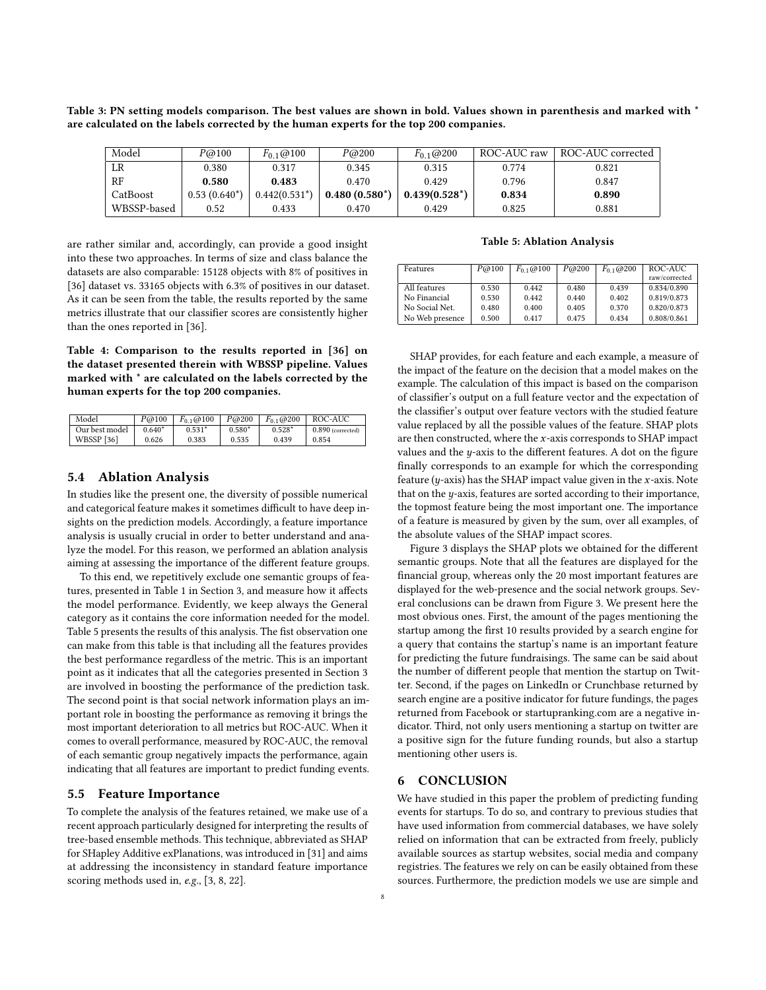<span id="page-7-1"></span>Table 3: PN setting models comparison. The best values are shown in bold. Values shown in parenthesis and marked with \* are calculated on the labels corrected by the human experts for the top 200 companies.

| Model       | P@100          | $F_{0,1}$ (@100 | P@200           | $F_{0,1}$ (@ 200 | ROC-AUC raw | ROC-AUC corrected |
|-------------|----------------|-----------------|-----------------|------------------|-------------|-------------------|
| LR          | 0.380          | 0.317           | 0.345           | 0.315            | 0.774       | 0.821             |
| RF          | 0.580          | 0.483           | 0.470           | 0.429            | 0.796       | 0.847             |
| CatBoost    | $0.53(0.640*)$ | $0.442(0.531*)$ | $0.480(0.580*)$ | $0.439(0.528^*)$ | 0.834       | 0.890             |
| WBSSP-based | 0.52           | 0.433           | 0.470           | 0.429            | 0.825       | 0.881             |

are rather similar and, accordingly, can provide a good insight into these two approaches. In terms of size and class balance the datasets are also comparable: 15128 objects with 8% of positives in [\[36\]](#page-9-8) dataset vs. 33165 objects with 6.3% of positives in our dataset. As it can be seen from the table, the results reported by the same metrics illustrate that our classifier scores are consistently higher than the ones reported in [\[36\]](#page-9-8).

<span id="page-7-2"></span>Table 4: Comparison to the results reported in [\[36\]](#page-9-8) on the dataset presented therein with WBSSP pipeline. Values marked with \* are calculated on the labels corrected by the human experts for the top 200 companies.

| Model             | P@100    | $F_{0,1}$ ( $\otimes$ 100 | P@200    | $F_{0,1}$ @ 200 | ROC-AUC             |
|-------------------|----------|---------------------------|----------|-----------------|---------------------|
| Our best model    | $0.640*$ | $0.531*$                  | $0.580*$ | $0.528*$        | $0.890$ (corrected) |
| <b>WBSSP</b> [36] | 0.626    | 0.383                     | 0.535    | 0.439           | 0.854               |

## 5.4 Ablation Analysis

In studies like the present one, the diversity of possible numerical and categorical feature makes it sometimes difficult to have deep insights on the prediction models. Accordingly, a feature importance analysis is usually crucial in order to better understand and analyze the model. For this reason, we performed an ablation analysis aiming at assessing the importance of the different feature groups.

To this end, we repetitively exclude one semantic groups of features, presented in Table [1](#page-3-1) in Section [3,](#page-1-1) and measure how it affects the model performance. Evidently, we keep always the General category as it contains the core information needed for the model. Table [5](#page-7-3) presents the results of this analysis. The fist observation one can make from this table is that including all the features provides the best performance regardless of the metric. This is an important point as it indicates that all the categories presented in Section [3](#page-1-1) are involved in boosting the performance of the prediction task. The second point is that social network information plays an important role in boosting the performance as removing it brings the most important deterioration to all metrics but ROC-AUC. When it comes to overall performance, measured by ROC-AUC, the removal of each semantic group negatively impacts the performance, again indicating that all features are important to predict funding events.

#### 5.5 Feature Importance

To complete the analysis of the features retained, we make use of a recent approach particularly designed for interpreting the results of tree-based ensemble methods. This technique, abbreviated as SHAP for SHapley Additive exPlanations, was introduced in [\[31\]](#page-9-37) and aims at addressing the inconsistency in standard feature importance scoring methods used in, e.g., [\[3,](#page-9-38) [8,](#page-9-39) [22\]](#page-9-40).

#### Table 5: Ablation Analysis

<span id="page-7-3"></span>

| Features                     | P@100          | $F_{0,1}$ (a) 100 | P@200          | $F_{0,1}$ (a) 200 | ROC-AUC<br>raw/corrected   |
|------------------------------|----------------|-------------------|----------------|-------------------|----------------------------|
| All features<br>No Financial | 0.530<br>0.530 | 0.442<br>0.442    | 0.480<br>0.440 | 0.439<br>0.402    | 0.834/0.890<br>0.819/0.873 |
| No Social Net.               | 0.480          | 0.400             | 0.405          | 0.370             | 0.820/0.873                |
| No Web presence              | 0.500          | 0.417             | 0.475          | 0.434             | 0.808/0.861                |

SHAP provides, for each feature and each example, a measure of the impact of the feature on the decision that a model makes on the example. The calculation of this impact is based on the comparison of classifier's output on a full feature vector and the expectation of the classifier's output over feature vectors with the studied feature value replaced by all the possible values of the feature. SHAP plots are then constructed, where the  $x$ -axis corresponds to SHAP impact values and the  $y$ -axis to the different features. A dot on the figure finally corresponds to an example for which the corresponding feature ( $y$ -axis) has the SHAP impact value given in the  $x$ -axis. Note that on the  $y$ -axis, features are sorted according to their importance, the topmost feature being the most important one. The importance of a feature is measured by given by the sum, over all examples, of the absolute values of the SHAP impact scores.

Figure [3](#page-8-0) displays the SHAP plots we obtained for the different semantic groups. Note that all the features are displayed for the financial group, whereas only the 20 most important features are displayed for the web-presence and the social network groups. Several conclusions can be drawn from Figure [3.](#page-8-0) We present here the most obvious ones. First, the amount of the pages mentioning the startup among the first 10 results provided by a search engine for a query that contains the startup's name is an important feature for predicting the future fundraisings. The same can be said about the number of different people that mention the startup on Twitter. Second, if the pages on LinkedIn or Crunchbase returned by search engine are a positive indicator for future fundings, the pages returned from Facebook or startupranking.com are a negative indicator. Third, not only users mentioning a startup on twitter are a positive sign for the future funding rounds, but also a startup mentioning other users is.

## <span id="page-7-0"></span>6 CONCLUSION

We have studied in this paper the problem of predicting funding events for startups. To do so, and contrary to previous studies that have used information from commercial databases, we have solely relied on information that can be extracted from freely, publicly available sources as startup websites, social media and company registries. The features we rely on can be easily obtained from these sources. Furthermore, the prediction models we use are simple and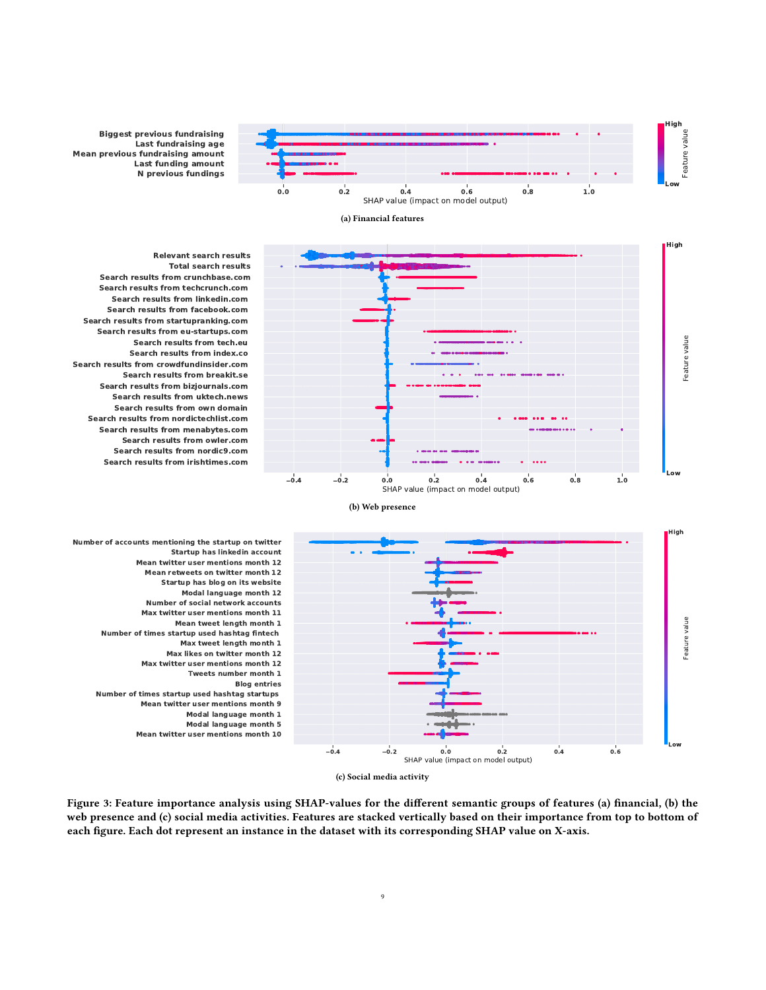

<span id="page-8-0"></span>**N previous fundings Last funding amount Mean previous fundraising amount Last fundraising age Biggest previous fundraising**



**Search results from irishtimes.com Search results from nordic9.com Search results from owler.com Search results from menabytes.com Search results from nordictechlist.com Search results from own domain Search results from uktech.news Search results from bizjournals.com Search results from breakit.se Search results from crowdfundinsider.com Search results from index.co Search results from tech.eu Search results from eu-startups.com Search results from startupranking.com Search results from facebook.com Search results from linkedin.com Search results from techcrunch.com Search results from crunchbase.com Total search results Relevant search results**



(a) Financial features

Figure 3: Feature importance analysis using SHAP-values for the different semantic groups of features (a) financial, (b) the web presence and (c) social media activities. Features are stacked vertically based on their importance from top to bottom of each figure. Each dot represent an instance in the dataset with its corresponding SHAP value on X-axis.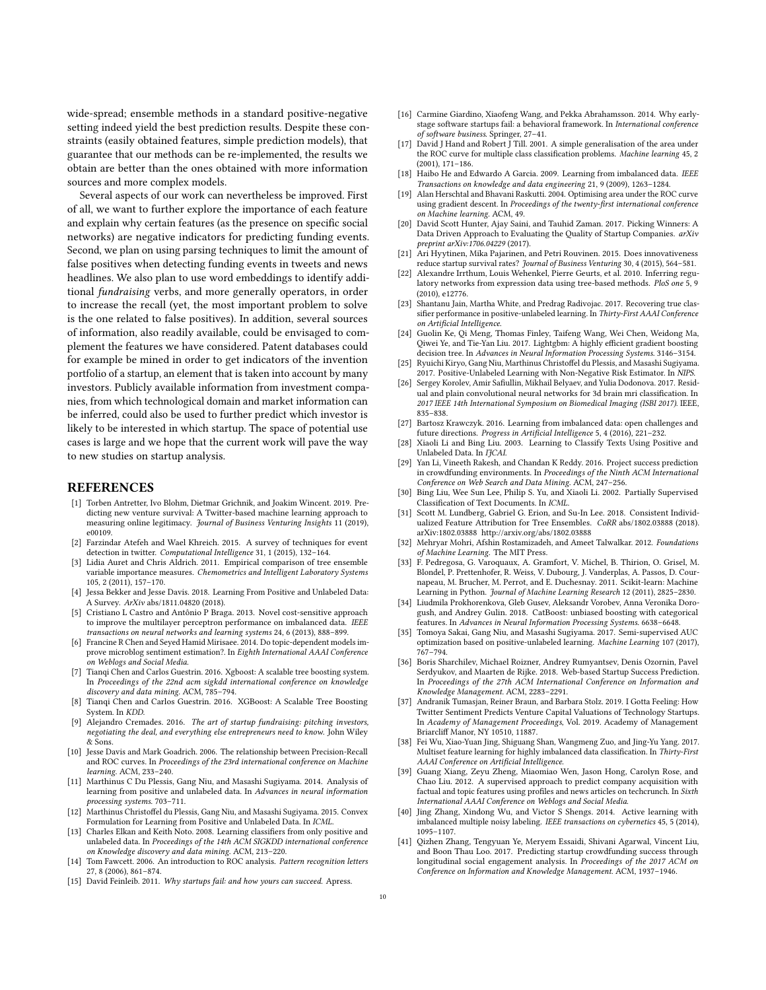wide-spread; ensemble methods in a standard positive-negative setting indeed yield the best prediction results. Despite these constraints (easily obtained features, simple prediction models), that guarantee that our methods can be re-implemented, the results we obtain are better than the ones obtained with more information sources and more complex models.

Several aspects of our work can nevertheless be improved. First of all, we want to further explore the importance of each feature and explain why certain features (as the presence on specific social networks) are negative indicators for predicting funding events. Second, we plan on using parsing techniques to limit the amount of false positives when detecting funding events in tweets and news headlines. We also plan to use word embeddings to identify additional fundraising verbs, and more generally operators, in order to increase the recall (yet, the most important problem to solve is the one related to false positives). In addition, several sources of information, also readily available, could be envisaged to complement the features we have considered. Patent databases could for example be mined in order to get indicators of the invention portfolio of a startup, an element that is taken into account by many investors. Publicly available information from investment companies, from which technological domain and market information can be inferred, could also be used to further predict which investor is likely to be interested in which startup. The space of potential use cases is large and we hope that the current work will pave the way to new studies on startup analysis.

## **REFERENCES**

- <span id="page-9-6"></span>[1] Torben Antretter, Ivo Blohm, Dietmar Grichnik, and Joakim Wincent. 2019. Predicting new venture survival: A Twitter-based machine learning approach to measuring online legitimacy. Journal of Business Venturing Insights 11 (2019), e00109.
- <span id="page-9-10"></span>[2] Farzindar Atefeh and Wael Khreich. 2015. A survey of techniques for event detection in twitter. Computational Intelligence 31, 1 (2015), 132–164.
- <span id="page-9-38"></span>[3] Lidia Auret and Chris Aldrich. 2011. Empirical comparison of tree ensemble variable importance measures. Chemometrics and Intelligent Laboratory Systems 105, 2 (2011), 157–170.
- <span id="page-9-17"></span>[4] Jessa Bekker and Jesse Davis. 2018. Learning From Positive and Unlabeled Data: A Survey. ArXiv abs/1811.04820 (2018).
- <span id="page-9-13"></span>[5] Cristiano L Castro and Antônio P Braga. 2013. Novel cost-sensitive approach to improve the multilayer perceptron performance on imbalanced data. IEEE transactions on neural networks and learning systems 24, 6 (2013), 888–899.
- <span id="page-9-11"></span>[6] Francine R Chen and Seyed Hamid Mirisaee. 2014. Do topic-dependent models improve microblog sentiment estimation?. In Eighth International AAAI Conference on Weblogs and Social Media.
- <span id="page-9-28"></span>[7] Tianqi Chen and Carlos Guestrin. 2016. Xgboost: A scalable tree boosting system. In Proceedings of the 22nd acm sigkdd international conference on knowledge discovery and data mining. ACM, 785–794.
- <span id="page-9-39"></span>[8] Tianqi Chen and Carlos Guestrin. 2016. XGBoost: A Scalable Tree Boosting System. In KDD.
- <span id="page-9-3"></span>[9] Alejandro Cremades. 2016. The art of startup fundraising: pitching investors, negotiating the deal, and everything else entrepreneurs need to know. John Wiley & Sons.
- <span id="page-9-26"></span>[10] Jesse Davis and Mark Goadrich. 2006. The relationship between Precision-Recall and ROC curves. In Proceedings of the 23rd international conference on Machine learning. ACM, 233–240.
- <span id="page-9-21"></span>[11] Marthinus C Du Plessis, Gang Niu, and Masashi Sugiyama. 2014. Analysis of learning from positive and unlabeled data. In Advances in neural information processing systems. 703–711.
- <span id="page-9-27"></span>[12] Marthinus Christoffel du Plessis, Gang Niu, and Masashi Sugiyama. 2015. Convex Formulation for Learning from Positive and Unlabeled Data. In ICML.
- <span id="page-9-20"></span>[13] Charles Elkan and Keith Noto. 2008. Learning classifiers from only positive and unlabeled data. In Proceedings of the 14th ACM SIGKDD international conference on Knowledge discovery and data mining. ACM, 213–220.
- <span id="page-9-30"></span>[14] Tom Fawcett. 2006. An introduction to ROC analysis. Pattern recognition letters 27, 8 (2006), 861–874.
- <span id="page-9-1"></span>[15] David Feinleib. 2011. Why startups fail: and how yours can succeed. Apress.
- <span id="page-9-2"></span>[16] Carmine Giardino, Xiaofeng Wang, and Pekka Abrahamsson. 2014. Why earlystage software startups fail: a behavioral framework. In International conference of software business. Springer, 27–41.
- <span id="page-9-31"></span>David J Hand and Robert  $\bar{J}$  Till. 2001. A simple generalisation of the area under the ROC curve for multiple class classification problems. Machine learning 45, 2 (2001), 171–186.
- <span id="page-9-33"></span>[18] Haibo He and Edwardo A Garcia. 2009. Learning from imbalanced data. IEEE Transactions on knowledge and data engineering 21, 9 (2009), 1263–1284.
- <span id="page-9-25"></span>[19] Alan Herschtal and Bhavani Raskutti. 2004. Optimising area under the ROC curve using gradient descent. In Proceedings of the twenty-first international conference on Machine learning. ACM, 49.
- <span id="page-9-9"></span>[20] David Scott Hunter, Ajay Saini, and Tauhid Zaman. 2017. Picking Winners: A Data Driven Approach to Evaluating the Quality of Startup Companies. arXiv preprint arXiv:1706.04229 (2017).
- <span id="page-9-0"></span>[21] Ari Hyytinen, Mika Pajarinen, and Petri Rouvinen. 2015. Does innovativeness reduce startup survival rates? Journal of Business Venturing 30, 4 (2015), 564–581.
- <span id="page-9-40"></span>[22] Alexandre Irrthum, Louis Wehenkel, Pierre Geurts, et al. 2010. Inferring regulatory networks from expression data using tree-based methods. PloS one 5, 9 (2010), e12776.
- <span id="page-9-35"></span>[23] Shantanu Jain, Martha White, and Predrag Radivojac. 2017. Recovering true classifier performance in positive-unlabeled learning. In Thirty-First AAAI Conference on Artificial Intelligence.
- <span id="page-9-29"></span>[24] Guolin Ke, Qi Meng, Thomas Finley, Taifeng Wang, Wei Chen, Weidong Ma, Qiwei Ye, and Tie-Yan Liu. 2017. Lightgbm: A highly efficient gradient boosting decision tree. In Advances in Neural Information Processing Systems. 3146–3154.
- <span id="page-9-22"></span>[25] Ryuichi Kiryo, Gang Niu, Marthinus Christoffel du Plessis, and Masashi Sugiyama. 2017. Positive-Unlabeled Learning with Non-Negative Risk Estimator. In NIPS.
- <span id="page-9-32"></span>[26] Sergey Korolev, Amir Safiullin, Mikhail Belyaev, and Yulia Dodonova. 2017. Residual and plain convolutional neural networks for 3d brain mri classification. In 2017 IEEE 14th International Symposium on Biomedical Imaging (ISBI 2017). IEEE, 835–838.
- <span id="page-9-14"></span>[27] Bartosz Krawczyk. 2016. Learning from imbalanced data: open challenges and future directions. Progress in Artificial Intelligence 5, 4 (2016), 221–232.
- <span id="page-9-19"></span>[28] Xiaoli Li and Bing Liu. 2003. Learning to Classify Texts Using Positive and Unlabeled Data. In IICAI.
- <span id="page-9-12"></span>[29] Yan Li, Vineeth Rakesh, and Chandan K Reddy. 2016. Project success prediction in crowdfunding environments. In Proceedings of the Ninth ACM International Conference on Web Search and Data Mining. ACM, 247–256.
- <span id="page-9-18"></span>[30] Bing Liu, Wee Sun Lee, Philip S. Yu, and Xiaoli Li. 2002. Partially Supervised Classification of Text Documents. In ICML.
- <span id="page-9-37"></span>[31] Scott M. Lundberg, Gabriel G. Erion, and Su-In Lee. 2018. Consistent Individualized Feature Attribution for Tree Ensembles. CoRR abs/1802.03888 (2018). arXiv[:1802.03888 http://arxiv.org/abs/1802.03888](http://arxiv.org/abs/1802.03888)
- <span id="page-9-23"></span>[32] Mehryar Mohri, Afshin Rostamizadeh, and Ameet Talwalkar. 2012. Foundations of Machine Learning. The MIT Press.
- <span id="page-9-36"></span>[33] F. Pedregosa, G. Varoquaux, A. Gramfort, V. Michel, B. Thirion, O. Grisel, M. Blondel, P. Prettenhofer, R. Weiss, V. Dubourg, J. Vanderplas, A. Passos, D. Cournapeau, M. Brucher, M. Perrot, and E. Duchesnay. 2011. Scikit-learn: Machine Learning in Python. Journal of Machine Learning Research 12 (2011), 2825–2830.
- <span id="page-9-16"></span>[34] Liudmila Prokhorenkova, Gleb Gusev, Aleksandr Vorobev, Anna Veronika Dorogush, and Andrey Gulin. 2018. CatBoost: unbiased boosting with categorical features. In Advances in Neural Information Processing Systems. 6638–6648.
- <span id="page-9-24"></span>[35] Tomoya Sakai, Gang Niu, and Masashi Sugiyama. 2017. Semi-supervised AUC optimization based on positive-unlabeled learning. Machine Learning 107 (2017), 767–794.
- <span id="page-9-8"></span>[36] Boris Sharchilev, Michael Roizner, Andrey Rumyantsev, Denis Ozornin, Pavel Serdyukov, and Maarten de Rijke. 2018. Web-based Startup Success Prediction. In Proceedings of the 27th ACM International Conference on Information and Knowledge Management. ACM, 2283–2291.
- <span id="page-9-7"></span>[37] Andranik Tumasjan, Reiner Braun, and Barbara Stolz. 2019. I Gotta Feeling: How Twitter Sentiment Predicts Venture Capital Valuations of Technology Startups. In Academy of Management Proceedings, Vol. 2019. Academy of Management Briarcliff Manor, NY 10510, 11887.
- <span id="page-9-15"></span>[38] Fei Wu, Xiao-Yuan Jing, Shiguang Shan, Wangmeng Zuo, and Jing-Yu Yang. 2017. Multiset feature learning for highly imbalanced data classification. In Thirty-First AAAI Conference on Artificial Intelligence.
- <span id="page-9-4"></span>[39] Guang Xiang, Zeyu Zheng, Miaomiao Wen, Jason Hong, Carolyn Rose, and Chao Liu. 2012. A supervised approach to predict company acquisition with factual and topic features using profiles and news articles on techcrunch. In Sixth International AAAI Conference on Weblogs and Social Media.
- <span id="page-9-34"></span>[40] Jing Zhang, Xindong Wu, and Victor S Shengs. 2014. Active learning with imbalanced multiple noisy labeling. IEEE transactions on cybernetics 45, 5 (2014), 1095–1107.
- <span id="page-9-5"></span>[41] Qizhen Zhang, Tengyuan Ye, Meryem Essaidi, Shivani Agarwal, Vincent Liu, and Boon Thau Loo. 2017. Predicting startup crowdfunding success through longitudinal social engagement analysis. In Proceedings of the 2017 ACM on Conference on Information and Knowledge Management. ACM, 1937–1946.